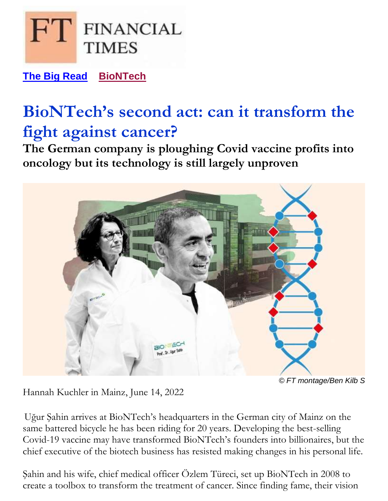

**[The Big Read](https://www.ft.com/the-big-read) [BioNTech](https://www.ft.com/stream/be2d839b-1969-4694-ae75-abe48d1e904c)**

# **BioNTech's second act: can it transform the fight against cancer?**

**The German company is ploughing Covid vaccine profits into oncology but its technology is still largely unproven**



*© FT montage/Ben Kilb S*

Hannah Kuchler in Mainz, June 14, 2022

Uğur Şahin arrives at BioNTech's headquarters in the German city of Mainz on the same battered bicycle he has been riding for 20 years. Developing the best-selling Covid-19 vaccine may have transformed BioNTech's founders into billionaires, but the chief executive of the biotech business has resisted making changes in his personal life.

Şahin and his wife, chief medical officer Özlem Türeci, set up BioNTech in 2008 to create a toolbox to transform the treatment of cancer. Since finding fame, their vision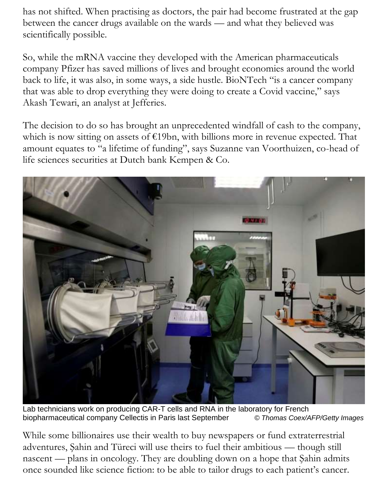has not shifted. When practising as doctors, the pair had become frustrated at the gap between the cancer drugs available on the wards — and what they believed was scientifically possible.

So, while the mRNA vaccine they developed with the American pharmaceuticals company Pfizer has saved millions of lives and brought economies around the world back to life, it was also, in some ways, a side hustle. BioNTech "is a cancer company that was able to drop everything they were doing to create a Covid vaccine," says Akash Tewari, an analyst at Jefferies.

The decision to do so has brought an unprecedented windfall of cash to the company, which is now sitting on assets of  $E19bn$ , with billions more in revenue expected. That amount equates to "a lifetime of funding", says Suzanne van Voorthuizen, co-head of life sciences securities at Dutch bank Kempen & Co.



Lab technicians work on producing CAR-T cells and RNA in the laboratory for French biopharmaceutical company Cellectis in Paris last September *© Thomas Coex/AFP/Getty Images* 

While some billionaires use their wealth to buy newspapers or fund extraterrestrial adventures, Şahin and Türeci will use theirs to fuel their ambitious — though still nascent — plans in oncology. They are doubling down on a hope that Şahin admits once sounded like science fiction: to be able to tailor drugs to each patient's cancer.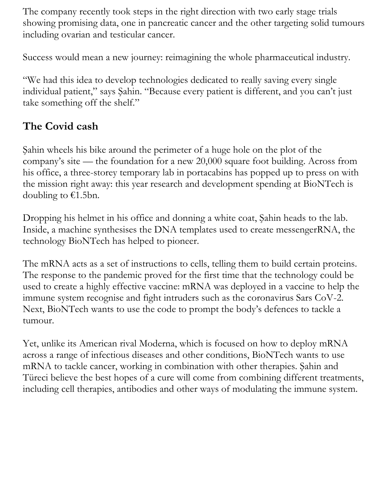The company recently took steps in the right direction with two early stage trials showing promising data, one in pancreatic cancer and the other targeting solid tumours including ovarian and testicular cancer.

Success would mean a new journey: reimagining the whole pharmaceutical industry.

"We had this idea to develop technologies dedicated to really saving every single individual patient," says Şahin. "Because every patient is different, and you can't just take something off the shelf."

### **The Covid cash**

Şahin wheels his bike around the perimeter of a huge hole on the plot of the company's site — the foundation for a new 20,000 square foot building. Across from his office, a three-storey temporary lab in portacabins has popped up to press on with the mission right away: this year research and development spending at BioNTech is doubling to  $\epsilon$ 1.5bn.

Dropping his helmet in his office and donning a white coat, Şahin heads to the lab. Inside, a machine synthesises the DNA templates used to create messengerRNA, the technology BioNTech has helped to pioneer.

The mRNA acts as a set of instructions to cells, telling them to build certain proteins. The response to the pandemic proved for the first time that the technology could be used to create a highly effective vaccine: mRNA was deployed in a vaccine to help the immune system recognise and fight intruders such as the coronavirus Sars CoV-2. Next, BioNTech wants to use the code to prompt the body's defences to tackle a tumour.

Yet, unlike its American rival Moderna, which is focused on how to deploy mRNA across a range of infectious diseases and other conditions, BioNTech wants to use mRNA to tackle cancer, working in combination with other therapies. Şahin and Türeci believe the best hopes of a cure will come from combining different treatments, including cell therapies, antibodies and other ways of modulating the immune system.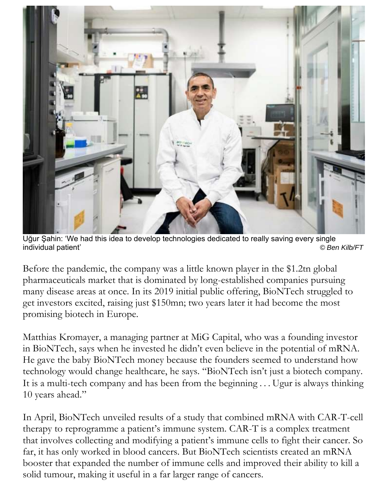

Uğur Şahin: 'We had this idea to develop technologies dedicated to really saving every single individual patient' *© Ben Kilb/FT*

Before the pandemic, the company was a little known player in the \$1.2tn global pharmaceuticals market that is dominated by long-established companies pursuing many disease areas at once. In its 2019 initial public offering, BioNTech struggled to get investors excited, raising just \$150mn; two years later it had become the most promising biotech in Europe.

Matthias Kromayer, a managing partner at MiG Capital, who was a founding investor in BioNTech, says when he invested he didn't even believe in the potential of mRNA. He gave the baby BioNTech money because the founders seemed to understand how technology would change healthcare, he says. "BioNTech isn't just a biotech company. It is a multi-tech company and has been from the beginning . . . Ugur is always thinking 10 years ahead."

In April, BioNTech unveiled results of a study that combined mRNA with CAR-T-cell therapy to reprogramme a patient's immune system. CAR-T is a complex treatment that involves collecting and modifying a patient's immune cells to fight their cancer. So far, it has only worked in blood cancers. But BioNTech scientists created an mRNA booster that expanded the number of immune cells and improved their ability to kill a solid tumour, making it useful in a far larger range of cancers.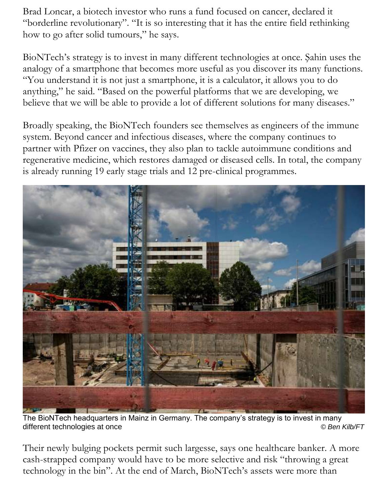Brad Loncar, a biotech investor who runs a fund focused on cancer, declared it "borderline revolutionary". "It is so interesting that it has the entire field rethinking how to go after solid tumours," he says.

BioNTech's strategy is to invest in many different technologies at once. Şahin uses the analogy of a smartphone that becomes more useful as you discover its many functions. "You understand it is not just a smartphone, it is a calculator, it allows you to do anything," he said. "Based on the powerful platforms that we are developing, we believe that we will be able to provide a lot of different solutions for many diseases."

Broadly speaking, the BioNTech founders see themselves as engineers of the immune system. Beyond cancer and infectious diseases, where the company continues to partner with Pfizer on vaccines, they also plan to tackle autoimmune conditions and regenerative medicine, which restores damaged or diseased cells. In total, the company is already running 19 early stage trials and 12 pre-clinical programmes.



The BioNTech headquarters in Mainz in Germany. The company's strategy is to invest in many different technologies at once *© Ben Kilb/FT*

Their newly bulging pockets permit such largesse, says one healthcare banker. A more cash-strapped company would have to be more selective and risk "throwing a great technology in the bin". At the end of March, BioNTech's assets were more than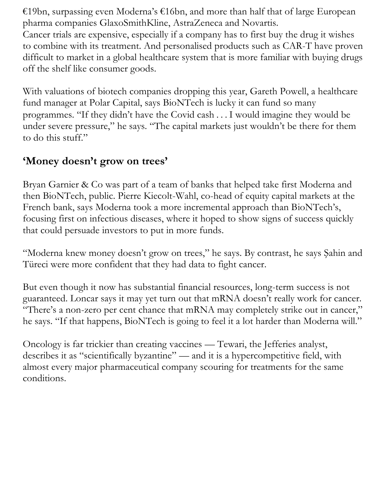€19bn, surpassing even Moderna's €16bn, and more than half that of large European pharma companies GlaxoSmithKline, AstraZeneca and Novartis. Cancer trials are expensive, especially if a company has to first buy the drug it wishes to combine with its treatment. And personalised products such as CAR-T have proven difficult to market in a global healthcare system that is more familiar with buying drugs off the shelf like consumer goods.

With valuations of biotech companies dropping this year, Gareth Powell, a healthcare fund manager at Polar Capital, says BioNTech is lucky it can fund so many programmes. "If they didn't have the Covid cash . . . I would imagine they would be under severe pressure," he says. "The capital markets just wouldn't be there for them to do this stuff."

#### **'Money doesn't grow on trees'**

Bryan Garnier & Co was part of a team of banks that helped take first Moderna and then BioNTech, public. Pierre Kiecolt-Wahl, co-head of equity capital markets at the French bank, says Moderna took a more incremental approach than BioNTech's, focusing first on infectious diseases, where it hoped to show signs of success quickly that could persuade investors to put in more funds.

"Moderna knew money doesn't grow on trees," he says. By contrast, he says Şahin and Türeci were more confident that they had data to fight cancer.

But even though it now has substantial financial resources, long-term success is not guaranteed. Loncar says it may yet turn out that mRNA doesn't really work for cancer. "There's a non-zero per cent chance that mRNA may completely strike out in cancer," he says. "If that happens, BioNTech is going to feel it a lot harder than Moderna will."

Oncology is far trickier than creating vaccines — Tewari, the Jefferies analyst, describes it as "scientifically byzantine" — and it is a hypercompetitive field, with almost every major pharmaceutical company scouring for treatments for the same conditions.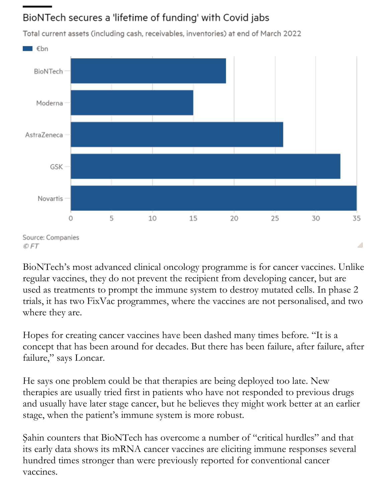## BioNTech secures a 'lifetime of funding' with Covid jabs



Total current assets (including cash, receivables, inventories) at end of March 2022

Source: Companies © FT

BioNTech's most advanced clinical oncology programme is for cancer vaccines. Unlike regular vaccines, they do not prevent the recipient from developing cancer, but are used as treatments to prompt the immune system to destroy mutated cells. In phase 2 trials, it has two FixVac programmes, where the vaccines are not personalised, and two where they are.

A

Hopes for creating cancer vaccines have been dashed many times before. "It is a concept that has been around for decades. But there has been failure, after failure, after failure," says Loncar.

He says one problem could be that therapies are being deployed too late. New therapies are usually tried first in patients who have not responded to previous drugs and usually have later stage cancer, but he believes they might work better at an earlier stage, when the patient's immune system is more robust.

Şahin counters that BioNTech has overcome a number of "critical hurdles" and that its early data shows its mRNA cancer vaccines are eliciting immune responses several hundred times stronger than were previously reported for conventional cancer vaccines.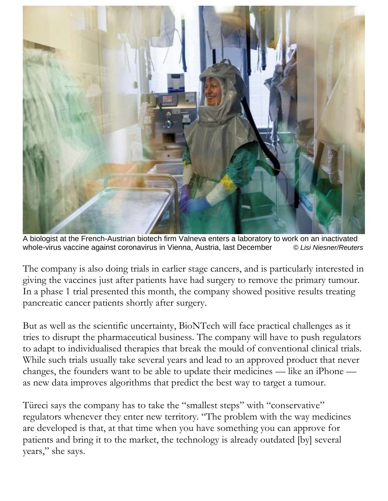

A biologist at the French-Austrian biotech firm Valneva enters a laboratory to work on an inactivated whole-virus vaccine against coronavirus in Vienna, Austria, last December *© Lisi Niesner/Reuters*

The company is also doing trials in earlier stage cancers, and is particularly interested in giving the vaccines just after patients have had surgery to remove the primary tumour. In a phase 1 trial presented this month, the company showed positive results treating pancreatic cancer patients shortly after surgery.

But as well as the scientific uncertainty, BioNTech will face practical challenges as it tries to disrupt the pharmaceutical business. The company will have to push regulators to adapt to individualised therapies that break the mould of conventional clinical trials. While such trials usually take several years and lead to an approved product that never changes, the founders want to be able to update their medicines — like an iPhone as new data improves algorithms that predict the best way to target a tumour.

Türeci says the company has to take the "smallest steps" with "conservative" regulators whenever they enter new territory. "The problem with the way medicines are developed is that, at that time when you have something you can approve for patients and bring it to the market, the technology is already outdated [by] several years," she says.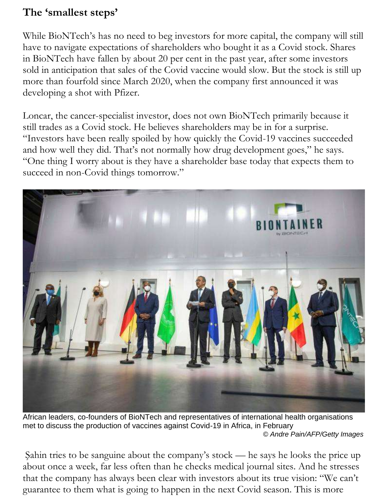#### **The 'smallest steps'**

While BioNTech's has no need to beg investors for more capital, the company will still have to navigate expectations of shareholders who bought it as a Covid stock. Shares in BioNTech have fallen by about 20 per cent in the past year, after some investors sold in anticipation that sales of the Covid vaccine would slow. But the stock is still up more than fourfold since March 2020, when the company first announced it was developing a shot with Pfizer.

Loncar, the cancer-specialist investor, does not own BioNTech primarily because it still trades as a Covid stock. He believes shareholders may be in for a surprise. "Investors have been really spoiled by how quickly the Covid-19 vaccines succeeded and how well they did. That's not normally how drug development goes," he says. "One thing I worry about is they have a shareholder base today that expects them to succeed in non-Covid things tomorrow."



African leaders, co-founders of BioNTech and representatives of international health organisations met to discuss the production of vaccines against Covid-19 in Africa, in February  *© Andre Pain/AFP/Getty Images*

Şahin tries to be sanguine about the company's stock — he says he looks the price up about once a week, far less often than he checks medical journal sites. And he stresses that the company has always been clear with investors about its true vision: "We can't guarantee to them what is going to happen in the next Covid season. This is more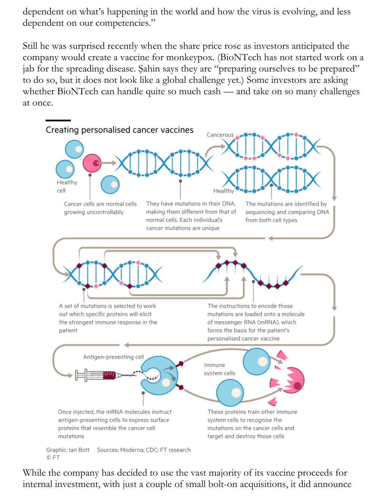dependent on what's happening in the world and how the virus is evolving, and less dependent on our competencies."

Still he was surprised recently when the share price rose as investors anticipated the company would create a vaccine for monkeypox. (BioNTech has not started work on a jab for the spreading disease. Şahin says they are "preparing ourselves to be prepared" to do so, but it does not look like a global challenge yet.) Some investors are asking whether BioNTech can handle quite so much cash — and take on so many challenges at once.



While the company has decided to use the vast majority of its vaccine proceeds for internal investment, with just a couple of small bolt-on acquisitions, it did announce